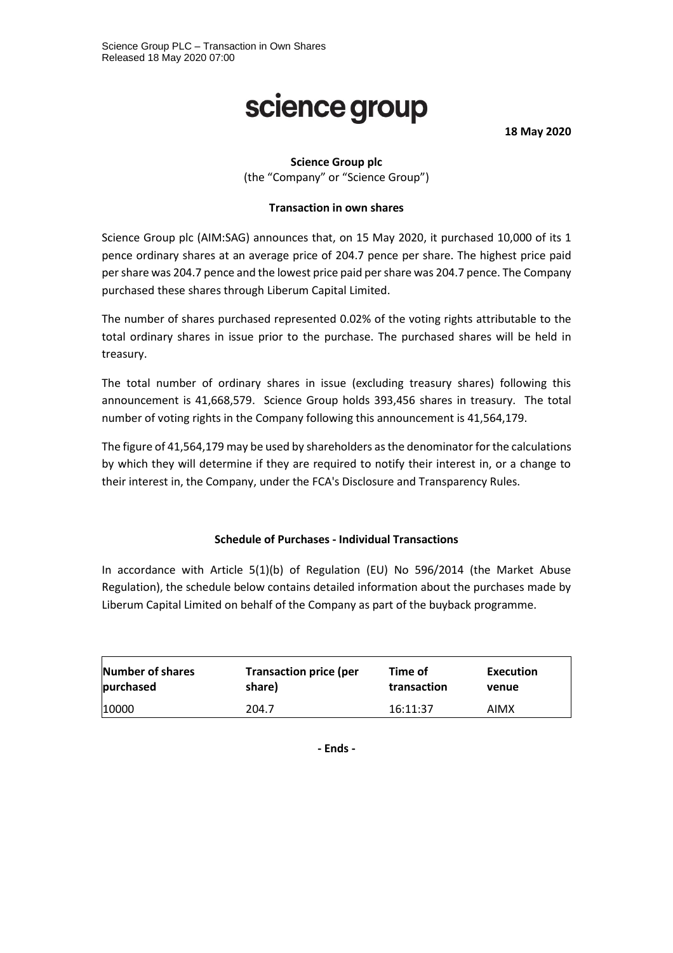# science group

**18 May 2020**

## **Science Group plc**

(the "Company" or "Science Group")

## **Transaction in own shares**

Science Group plc (AIM:SAG) announces that, on 15 May 2020, it purchased 10,000 of its 1 pence ordinary shares at an average price of 204.7 pence per share. The highest price paid per share was 204.7 pence and the lowest price paid per share was 204.7 pence. The Company purchased these shares through Liberum Capital Limited.

The number of shares purchased represented 0.02% of the voting rights attributable to the total ordinary shares in issue prior to the purchase. The purchased shares will be held in treasury.

The total number of ordinary shares in issue (excluding treasury shares) following this announcement is 41,668,579. Science Group holds 393,456 shares in treasury. The total number of voting rights in the Company following this announcement is 41,564,179.

The figure of 41,564,179 may be used by shareholders as the denominator for the calculations by which they will determine if they are required to notify their interest in, or a change to their interest in, the Company, under the FCA's Disclosure and Transparency Rules.

#### **Schedule of Purchases - Individual Transactions**

In accordance with Article 5(1)(b) of Regulation (EU) No 596/2014 (the Market Abuse Regulation), the schedule below contains detailed information about the purchases made by Liberum Capital Limited on behalf of the Company as part of the buyback programme.

| <b>Number of shares</b> | <b>Transaction price (per</b> | Time of     | Execution   |
|-------------------------|-------------------------------|-------------|-------------|
| purchased               | share)                        | transaction | venue       |
| 10000                   | 204.7                         | 16:11:37    | <b>AIMX</b> |

**- Ends -**